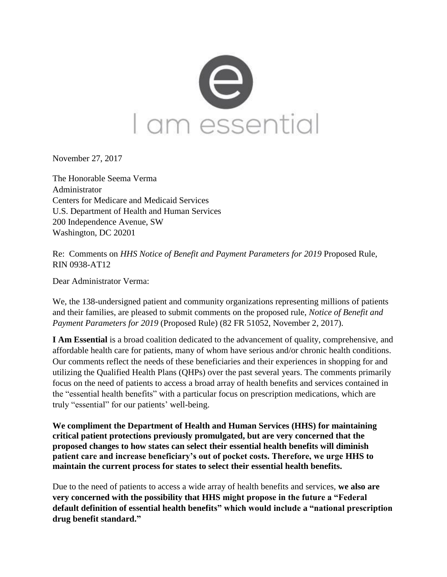

November 27, 2017

The Honorable Seema Verma Administrator Centers for Medicare and Medicaid Services U.S. Department of Health and Human Services 200 Independence Avenue, SW Washington, DC 20201

Re: Comments on *HHS Notice of Benefit and Payment Parameters for 2019* Proposed Rule, RIN 0938-AT12

Dear Administrator Verma:

We, the 138-undersigned patient and community organizations representing millions of patients and their families, are pleased to submit comments on the proposed rule, *Notice of Benefit and Payment Parameters for 2019* (Proposed Rule) (82 FR 51052, November 2, 2017).

**I Am Essential** is a broad coalition dedicated to the advancement of quality, comprehensive, and affordable health care for patients, many of whom have serious and/or chronic health conditions. Our comments reflect the needs of these beneficiaries and their experiences in shopping for and utilizing the Qualified Health Plans (QHPs) over the past several years. The comments primarily focus on the need of patients to access a broad array of health benefits and services contained in the "essential health benefits" with a particular focus on prescription medications, which are truly "essential" for our patients' well-being.

**We compliment the Department of Health and Human Services (HHS) for maintaining critical patient protections previously promulgated, but are very concerned that the proposed changes to how states can select their essential health benefits will diminish patient care and increase beneficiary's out of pocket costs. Therefore, we urge HHS to maintain the current process for states to select their essential health benefits.**

Due to the need of patients to access a wide array of health benefits and services, **we also are very concerned with the possibility that HHS might propose in the future a "Federal default definition of essential health benefits" which would include a "national prescription drug benefit standard."**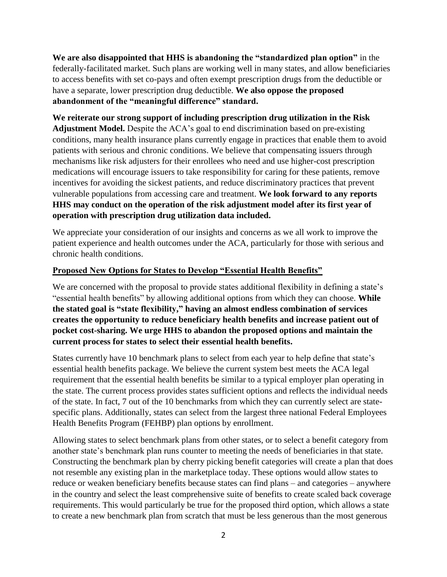**We are also disappointed that HHS is abandoning the "standardized plan option"** in the federally-facilitated market. Such plans are working well in many states, and allow beneficiaries to access benefits with set co-pays and often exempt prescription drugs from the deductible or have a separate, lower prescription drug deductible. **We also oppose the proposed abandonment of the "meaningful difference" standard.**

**We reiterate our strong support of including prescription drug utilization in the Risk Adjustment Model.** Despite the ACA's goal to end discrimination based on pre-existing conditions, many health insurance plans currently engage in practices that enable them to avoid patients with serious and chronic conditions. We believe that compensating issuers through mechanisms like risk adjusters for their enrollees who need and use higher-cost prescription medications will encourage issuers to take responsibility for caring for these patients, remove incentives for avoiding the sickest patients, and reduce discriminatory practices that prevent vulnerable populations from accessing care and treatment. **We look forward to any reports HHS may conduct on the operation of the risk adjustment model after its first year of operation with prescription drug utilization data included.**

We appreciate your consideration of our insights and concerns as we all work to improve the patient experience and health outcomes under the ACA, particularly for those with serious and chronic health conditions.

## **Proposed New Options for States to Develop "Essential Health Benefits"**

We are concerned with the proposal to provide states additional flexibility in defining a state's "essential health benefits" by allowing additional options from which they can choose. **While the stated goal is "state flexibility," having an almost endless combination of services creates the opportunity to reduce beneficiary health benefits and increase patient out of pocket cost-sharing. We urge HHS to abandon the proposed options and maintain the current process for states to select their essential health benefits.**

States currently have 10 benchmark plans to select from each year to help define that state's essential health benefits package. We believe the current system best meets the ACA legal requirement that the essential health benefits be similar to a typical employer plan operating in the state. The current process provides states sufficient options and reflects the individual needs of the state. In fact, 7 out of the 10 benchmarks from which they can currently select are statespecific plans. Additionally, states can select from the largest three national Federal Employees Health Benefits Program (FEHBP) plan options by enrollment.

Allowing states to select benchmark plans from other states, or to select a benefit category from another state's benchmark plan runs counter to meeting the needs of beneficiaries in that state. Constructing the benchmark plan by cherry picking benefit categories will create a plan that does not resemble any existing plan in the marketplace today. These options would allow states to reduce or weaken beneficiary benefits because states can find plans – and categories – anywhere in the country and select the least comprehensive suite of benefits to create scaled back coverage requirements. This would particularly be true for the proposed third option, which allows a state to create a new benchmark plan from scratch that must be less generous than the most generous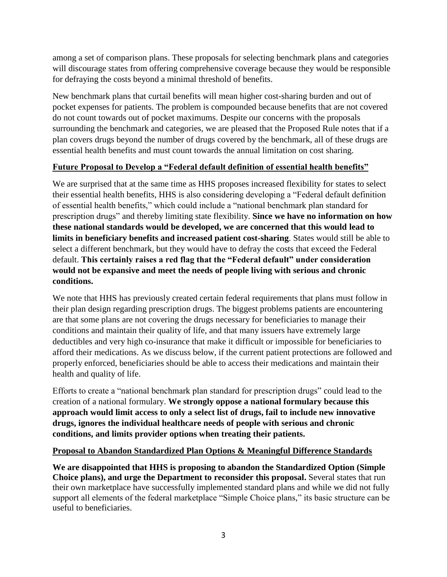among a set of comparison plans. These proposals for selecting benchmark plans and categories will discourage states from offering comprehensive coverage because they would be responsible for defraying the costs beyond a minimal threshold of benefits.

New benchmark plans that curtail benefits will mean higher cost-sharing burden and out of pocket expenses for patients. The problem is compounded because benefits that are not covered do not count towards out of pocket maximums. Despite our concerns with the proposals surrounding the benchmark and categories, we are pleased that the Proposed Rule notes that if a plan covers drugs beyond the number of drugs covered by the benchmark, all of these drugs are essential health benefits and must count towards the annual limitation on cost sharing.

## **Future Proposal to Develop a "Federal default definition of essential health benefits"**

We are surprised that at the same time as HHS proposes increased flexibility for states to select their essential health benefits, HHS is also considering developing a "Federal default definition of essential health benefits," which could include a "national benchmark plan standard for prescription drugs" and thereby limiting state flexibility. **Since we have no information on how these national standards would be developed, we are concerned that this would lead to limits in beneficiary benefits and increased patient cost-sharing**. States would still be able to select a different benchmark, but they would have to defray the costs that exceed the Federal default. **This certainly raises a red flag that the "Federal default" under consideration would not be expansive and meet the needs of people living with serious and chronic conditions.**

We note that HHS has previously created certain federal requirements that plans must follow in their plan design regarding prescription drugs. The biggest problems patients are encountering are that some plans are not covering the drugs necessary for beneficiaries to manage their conditions and maintain their quality of life, and that many issuers have extremely large deductibles and very high co-insurance that make it difficult or impossible for beneficiaries to afford their medications. As we discuss below, if the current patient protections are followed and properly enforced, beneficiaries should be able to access their medications and maintain their health and quality of life.

Efforts to create a "national benchmark plan standard for prescription drugs" could lead to the creation of a national formulary. **We strongly oppose a national formulary because this approach would limit access to only a select list of drugs, fail to include new innovative drugs, ignores the individual healthcare needs of people with serious and chronic conditions, and limits provider options when treating their patients.** 

## **Proposal to Abandon Standardized Plan Options & Meaningful Difference Standards**

**We are disappointed that HHS is proposing to abandon the Standardized Option (Simple Choice plans), and urge the Department to reconsider this proposal.** Several states that run their own marketplace have successfully implemented standard plans and while we did not fully support all elements of the federal marketplace "Simple Choice plans," its basic structure can be useful to beneficiaries.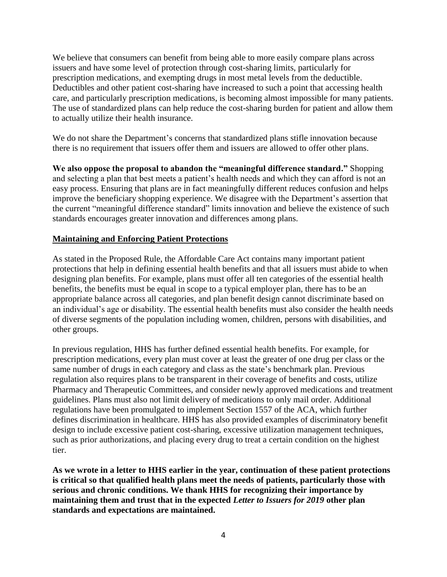We believe that consumers can benefit from being able to more easily compare plans across issuers and have some level of protection through cost-sharing limits, particularly for prescription medications, and exempting drugs in most metal levels from the deductible. Deductibles and other patient cost-sharing have increased to such a point that accessing health care, and particularly prescription medications, is becoming almost impossible for many patients. The use of standardized plans can help reduce the cost-sharing burden for patient and allow them to actually utilize their health insurance.

We do not share the Department's concerns that standardized plans stifle innovation because there is no requirement that issuers offer them and issuers are allowed to offer other plans.

**We also oppose the proposal to abandon the "meaningful difference standard."** Shopping and selecting a plan that best meets a patient's health needs and which they can afford is not an easy process. Ensuring that plans are in fact meaningfully different reduces confusion and helps improve the beneficiary shopping experience. We disagree with the Department's assertion that the current "meaningful difference standard" limits innovation and believe the existence of such standards encourages greater innovation and differences among plans.

## **Maintaining and Enforcing Patient Protections**

As stated in the Proposed Rule, the Affordable Care Act contains many important patient protections that help in defining essential health benefits and that all issuers must abide to when designing plan benefits. For example, plans must offer all ten categories of the essential health benefits, the benefits must be equal in scope to a typical employer plan, there has to be an appropriate balance across all categories, and plan benefit design cannot discriminate based on an individual's age or disability. The essential health benefits must also consider the health needs of diverse segments of the population including women, children, persons with disabilities, and other groups.

In previous regulation, HHS has further defined essential health benefits. For example, for prescription medications, every plan must cover at least the greater of one drug per class or the same number of drugs in each category and class as the state's benchmark plan. Previous regulation also requires plans to be transparent in their coverage of benefits and costs, utilize Pharmacy and Therapeutic Committees, and consider newly approved medications and treatment guidelines. Plans must also not limit delivery of medications to only mail order. Additional regulations have been promulgated to implement Section 1557 of the ACA, which further defines discrimination in healthcare. HHS has also provided examples of discriminatory benefit design to include excessive patient cost-sharing, excessive utilization management techniques, such as prior authorizations, and placing every drug to treat a certain condition on the highest tier.

**As we wrote in a letter to HHS earlier in the year, continuation of these patient protections is critical so that qualified health plans meet the needs of patients, particularly those with serious and chronic conditions. We thank HHS for recognizing their importance by maintaining them and trust that in the expected** *Letter to Issuers for 2019* **other plan standards and expectations are maintained.**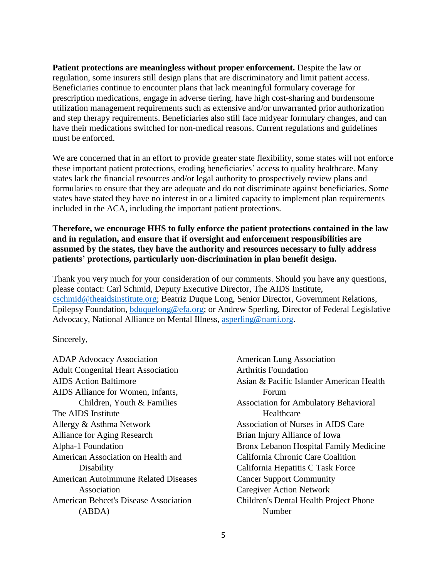**Patient protections are meaningless without proper enforcement.** Despite the law or regulation, some insurers still design plans that are discriminatory and limit patient access. Beneficiaries continue to encounter plans that lack meaningful formulary coverage for prescription medications, engage in adverse tiering, have high cost-sharing and burdensome utilization management requirements such as extensive and/or unwarranted prior authorization and step therapy requirements. Beneficiaries also still face midyear formulary changes, and can have their medications switched for non-medical reasons. Current regulations and guidelines must be enforced.

We are concerned that in an effort to provide greater state flexibility, some states will not enforce these important patient protections, eroding beneficiaries' access to quality healthcare. Many states lack the financial resources and/or legal authority to prospectively review plans and formularies to ensure that they are adequate and do not discriminate against beneficiaries. Some states have stated they have no interest in or a limited capacity to implement plan requirements included in the ACA, including the important patient protections.

**Therefore, we encourage HHS to fully enforce the patient protections contained in the law and in regulation, and ensure that if oversight and enforcement responsibilities are assumed by the states, they have the authority and resources necessary to fully address patients' protections, particularly non-discrimination in plan benefit design.**

Thank you very much for your consideration of our comments. Should you have any questions, please contact: Carl Schmid, Deputy Executive Director, The AIDS Institute, [cschmid@theaidsinstitute.org;](mailto:cschmid@theaidsinstitute.org) Beatriz Duque Long, Senior Director, Government Relations, Epilepsy Foundation, [bduquelong@efa.org;](mailto:bduquelong@efa.org) or Andrew Sperling, Director of Federal Legislative Advocacy, National Alliance on Mental Illness, [asperling@nami.org.](mailto:asperling@nami.org)

Sincerely,

ADAP Advocacy Association Adult Congenital Heart Association AIDS Action Baltimore AIDS Alliance for Women, Infants, Children, Youth & Families The AIDS Institute Allergy & Asthma Network Alliance for Aging Research Alpha-1 Foundation American Association on Health and Disability American Autoimmune Related Diseases Association American Behcet's Disease Association (ABDA)

| <b>American Lung Association</b>             |
|----------------------------------------------|
| <b>Arthritis Foundation</b>                  |
| Asian & Pacific Islander American Health     |
| Forum                                        |
| <b>Association for Ambulatory Behavioral</b> |
| Healthcare                                   |
| Association of Nurses in AIDS Care           |
| Brian Injury Alliance of Iowa                |
| Bronx Lebanon Hospital Family Medicine       |
| California Chronic Care Coalition            |
| California Hepatitis C Task Force            |
| <b>Cancer Support Community</b>              |
| <b>Caregiver Action Network</b>              |
| Children's Dental Health Project Phone       |
| Number                                       |
|                                              |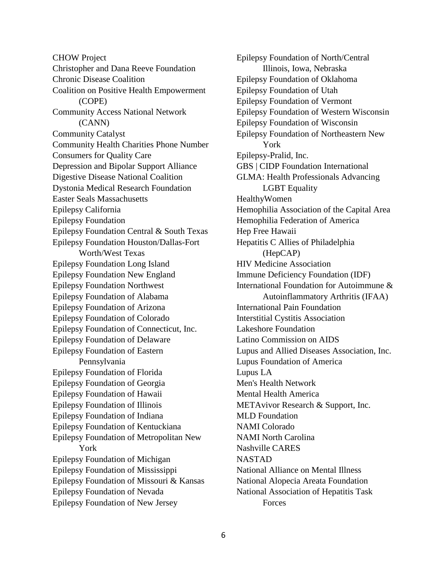CHOW Project Christopher and Dana Reeve Foundation Chronic Disease Coalition Coalition on Positive Health Empowerment (COPE) Community Access National Network (CANN) Community Catalyst Community Health Charities Phone Number Consumers for Quality Care Depression and Bipolar Support Alliance Digestive Disease National Coalition Dystonia Medical Research Foundation Easter Seals Massachusetts Epilepsy California Epilepsy Foundation Epilepsy Foundation Central & South Texas Epilepsy Foundation Houston/Dallas-Fort Worth/West Texas Epilepsy Foundation Long Island Epilepsy Foundation New England Epilepsy Foundation Northwest Epilepsy Foundation of Alabama Epilepsy Foundation of Arizona Epilepsy Foundation of Colorado Epilepsy Foundation of Connecticut, Inc. Epilepsy Foundation of Delaware Epilepsy Foundation of Eastern Pennsylvania Epilepsy Foundation of Florida Epilepsy Foundation of Georgia Epilepsy Foundation of Hawaii Epilepsy Foundation of Illinois Epilepsy Foundation of Indiana Epilepsy Foundation of Kentuckiana Epilepsy Foundation of Metropolitan New York Epilepsy Foundation of Michigan Epilepsy Foundation of Mississippi Epilepsy Foundation of Missouri & Kansas Epilepsy Foundation of Nevada Epilepsy Foundation of New Jersey

Epilepsy Foundation of North/Central Illinois, Iowa, Nebraska Epilepsy Foundation of Oklahoma Epilepsy Foundation of Utah Epilepsy Foundation of Vermont Epilepsy Foundation of Western Wisconsin Epilepsy Foundation of Wisconsin Epilepsy Foundation of Northeastern New York Epilepsy-Pralid, Inc. GBS | CIDP Foundation International GLMA: Health Professionals Advancing LGBT Equality HealthyWomen Hemophilia Association of the Capital Area Hemophilia Federation of America Hep Free Hawaii Hepatitis C Allies of Philadelphia (HepCAP) HIV Medicine Association Immune Deficiency Foundation (IDF) International Foundation for Autoimmune & Autoinflammatory Arthritis (IFAA) International Pain Foundation Interstitial Cystitis Association Lakeshore Foundation Latino Commission on AIDS Lupus and Allied Diseases Association, Inc. Lupus Foundation of America Lupus LA Men's Health Network Mental Health America METAvivor Research & Support, Inc. MLD Foundation NAMI Colorado NAMI North Carolina Nashville CARES NASTAD National Alliance on Mental Illness National Alopecia Areata Foundation National Association of Hepatitis Task **Forces**